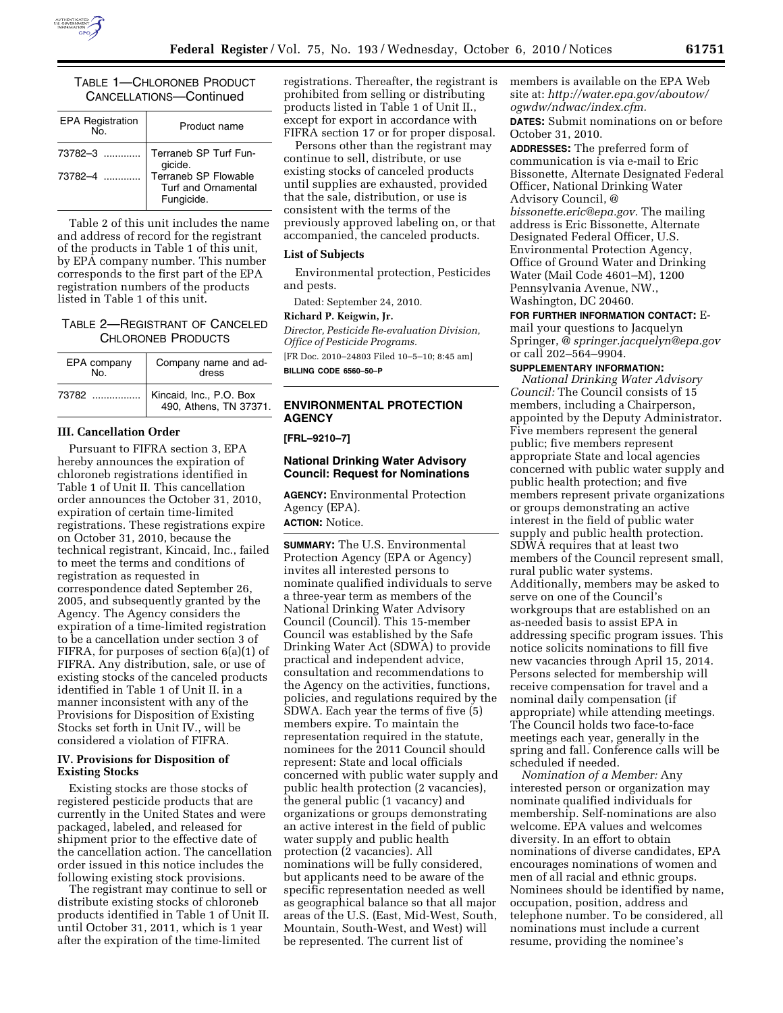## TABLE 1—CHLORONEB PRODUCT CANCELLATIONS—Continued

| <b>EPA Registration</b><br>$N_{\Omega}$ | Product name                                                     |
|-----------------------------------------|------------------------------------------------------------------|
| $73782 - 3$                             | Terraneb SP Turf Fun-<br>gicide.                                 |
| 73782-4                                 | Terraneb SP Flowable<br><b>Turf and Ornamental</b><br>Fungicide. |

Table 2 of this unit includes the name and address of record for the registrant of the products in Table 1 of this unit, by EPA company number. This number corresponds to the first part of the EPA registration numbers of the products listed in Table 1 of this unit.

## TABLE 2—REGISTRANT OF CANCELED CHLORONEB PRODUCTS

| EPA company<br>No. | Company name and ad-<br>dress                     |
|--------------------|---------------------------------------------------|
| 73782              | Kincaid, Inc., P.O. Box<br>490, Athens, TN 37371. |

## **III. Cancellation Order**

Pursuant to FIFRA section 3, EPA hereby announces the expiration of chloroneb registrations identified in Table 1 of Unit II. This cancellation order announces the October 31, 2010, expiration of certain time-limited registrations. These registrations expire on October 31, 2010, because the technical registrant, Kincaid, Inc., failed to meet the terms and conditions of registration as requested in correspondence dated September 26, 2005, and subsequently granted by the Agency. The Agency considers the expiration of a time-limited registration to be a cancellation under section 3 of FIFRA, for purposes of section 6(a)(1) of FIFRA. Any distribution, sale, or use of existing stocks of the canceled products identified in Table 1 of Unit II. in a manner inconsistent with any of the Provisions for Disposition of Existing Stocks set forth in Unit IV., will be considered a violation of FIFRA.

## **IV. Provisions for Disposition of Existing Stocks**

Existing stocks are those stocks of registered pesticide products that are currently in the United States and were packaged, labeled, and released for shipment prior to the effective date of the cancellation action. The cancellation order issued in this notice includes the following existing stock provisions.

The registrant may continue to sell or distribute existing stocks of chloroneb products identified in Table 1 of Unit II. until October 31, 2011, which is 1 year after the expiration of the time-limited

registrations. Thereafter, the registrant is prohibited from selling or distributing products listed in Table 1 of Unit II., except for export in accordance with FIFRA section 17 or for proper disposal.

Persons other than the registrant may continue to sell, distribute, or use existing stocks of canceled products until supplies are exhausted, provided that the sale, distribution, or use is consistent with the terms of the previously approved labeling on, or that accompanied, the canceled products.

### **List of Subjects**

Environmental protection, Pesticides and pests.

Dated: September 24, 2010.

### **Richard P. Keigwin, Jr.**

*Director, Pesticide Re-evaluation Division, Office of Pesticide Programs.*  [FR Doc. 2010–24803 Filed 10–5–10; 8:45 am] **BILLING CODE 6560–50–P** 

### **ENVIRONMENTAL PROTECTION AGENCY**

### **[FRL–9210–7]**

## **National Drinking Water Advisory Council: Request for Nominations**

**AGENCY:** Environmental Protection Agency (EPA). **ACTION:** Notice.

**SUMMARY:** The U.S. Environmental Protection Agency (EPA or Agency) invites all interested persons to nominate qualified individuals to serve a three-year term as members of the National Drinking Water Advisory Council (Council). This 15-member Council was established by the Safe Drinking Water Act (SDWA) to provide practical and independent advice, consultation and recommendations to the Agency on the activities, functions, policies, and regulations required by the SDWA. Each year the terms of five (5) members expire. To maintain the representation required in the statute, nominees for the 2011 Council should represent: State and local officials concerned with public water supply and public health protection (2 vacancies), the general public (1 vacancy) and organizations or groups demonstrating an active interest in the field of public water supply and public health protection (2 vacancies). All nominations will be fully considered, but applicants need to be aware of the specific representation needed as well as geographical balance so that all major areas of the U.S. (East, Mid-West, South, Mountain, South-West, and West) will be represented. The current list of

members is available on the EPA Web site at: *[http://water.epa.gov/aboutow/](http://water.epa.gov/aboutow/ogwdw/ndwac/index.cfm) [ogwdw/ndwac/index.cfm.](http://water.epa.gov/aboutow/ogwdw/ndwac/index.cfm)* 

**DATES:** Submit nominations on or before October 31, 2010.

**ADDRESSES:** The preferred form of communication is via e-mail to Eric Bissonette, Alternate Designated Federal Officer, National Drinking Water Advisory Council, @ *[bissonette.eric@epa.gov.](mailto:bissonette.eric@epa.gov)* The mailing

address is Eric Bissonette, Alternate Designated Federal Officer, U.S. Environmental Protection Agency, Office of Ground Water and Drinking Water (Mail Code 4601–M), 1200 Pennsylvania Avenue, NW., Washington, DC 20460.

**FOR FURTHER INFORMATION CONTACT:** Email your questions to Jacquelyn Springer, @ *[springer.jacquelyn@epa.gov](mailto:springer.jacquelyn@epa.gov)*  or call 202–564–9904.

#### **SUPPLEMENTARY INFORMATION:**

*National Drinking Water Advisory Council:* The Council consists of 15 members, including a Chairperson, appointed by the Deputy Administrator. Five members represent the general public; five members represent appropriate State and local agencies concerned with public water supply and public health protection; and five members represent private organizations or groups demonstrating an active interest in the field of public water supply and public health protection. SDWA requires that at least two members of the Council represent small, rural public water systems. Additionally, members may be asked to serve on one of the Council's workgroups that are established on an as-needed basis to assist EPA in addressing specific program issues. This notice solicits nominations to fill five new vacancies through April 15, 2014. Persons selected for membership will receive compensation for travel and a nominal daily compensation (if appropriate) while attending meetings. The Council holds two face-to-face meetings each year, generally in the spring and fall. Conference calls will be scheduled if needed.

*Nomination of a Member:* Any interested person or organization may nominate qualified individuals for membership. Self-nominations are also welcome. EPA values and welcomes diversity. In an effort to obtain nominations of diverse candidates, EPA encourages nominations of women and men of all racial and ethnic groups. Nominees should be identified by name, occupation, position, address and telephone number. To be considered, all nominations must include a current resume, providing the nominee's